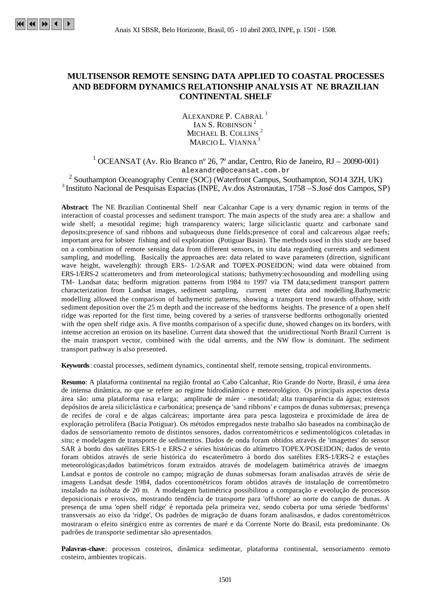## **MULTISENSOR REMOTE SENSING DATA APPLIED TO COASTAL PROCESSES AND BEDFORM DYNAMICS RELATIONSHIP ANALYSIS AT NE BRAZILIAN CONTINENTAL SHELF**

ALEXANDRE P. CABRAL<sup>1</sup> IAN S. ROBINSON<sup>2</sup> MICHAEL B. COLLINS<sup>2</sup> MARCIO L. VIANNA<sup>3</sup>

<sup>1</sup> OCEANSAT (Av. Rio Branco nº 26, 7º andar, Centro, Rio de Janeiro, RJ – 20090-001) alexandre@oceansat.com.br

 $2$  Southampton Oceanography Centre (SOC) (Waterfront Campus, Southampton, SO14 3ZH, UK)  $3$  Instituto Nacional de Pesquisas Espacias (INPE, Av.dos Astronautas, 1758 – S.José dos Campos, SP)

**Abstract**: The NE Brazilian Continental Shelf near Calcanhar Cape is a very dynamic region in terms of the interaction of coastal processes and sediment transport. The main aspects of the study area are: a shallow and wide shelf; a mesotidal regime; high transparency waters; large siliciclastic quartz and carbonate sand deposits;presence of sand ribbons and subaqueous dune fields;presence of coral and calcareous algae reefs; important area for lobster fishing and oil exploration (Potiguar Basin). The methods used in this study are based on a combination of remote sensing data from different sensors, in situ data regarding currents and sediment sampling, and modelling. Basically the approaches are: data related to wave parameters (direction, significant wave height, wavelength): through ERS- 1/2-SAR and TOPEX-POSEIDON; wind data were obtained from ERS-1/ERS-2 scatterometers and from meteorological stations; bathymetry:echosounding and modelling using TM- Landsat data; bedform migration patterns from 1984 to 1997 via TM data;sediment transport pattern characterization from Landsat images, sediment sampling, current meter data and modelling.Bathymetric modelling allowed the comparison of bathymetric patterns, showing a transport trend towards offshore, with sediment deposition over the 25 m depth and the increase of the bedforms heights. The presence of a open shelf ridge was reported for the first time, being covered by a series of transverse bedforms orthogonally oriented with the open shelf ridge axis. A five months comparison of a specific dune, showed changes on its borders, with intense accretion an erosion on its baseline. Current data showed that the unidirectional North Brazil Current is the main transport vector, combined with the tidal currents, and the NW flow is dominant. The sediment transport pathway is also presented.

**Keywords**: coastal processes, sediment dynamics, continental shelf, remote sensing, tropical environments.

**Resumo**: A plataforma continental na região frontal ao Cabo Calcanhar, Rio Grande do Norte, Brasil, é uma área de intensa dinâmica, no que se refere ao regime hidrodinâmico e meteorológico. Os principais aspectos desta área são: uma plataforma rasa e larga; amplitude de máre - mesotidal; alta transparência da água; extensos depósitos de areia siliciclástica e carbonática; presença de 'sand ribbons' e campos de dunas submersas; presença de recifes de coral e de algas calcáreas; importante área para pesca lagosteira e proximidade de área de exploração petrolífera (Bacia Potiguar). Os métodos empregados neste trabalho são baseados na combinação de dados de sensoriamento remoto de distintos sensores, dados correntométricos e sedimentológicos coletadas in situ; e modelagem de transporte de sedimentos. Dados de onda foram obtidos através de 'imagettes' do sensor SAR à bordo dos satélites ERS-1 e ERS-2 e séries históricas do altímetro TOPEX/POSEIDON; dados de vento foram obtidos através de serie histórica do escaterômetro à bordo dos satélites ERS-1/ERS-2 e estações meteorológicas;dados batimétricos foram extraídos através de modelagem batimétrica através de imaegns Landsat e pontos de controle no campo; migração de dunas submersas foram analisadas através de série de imagens Landsat desde 1984, dados corentométricos foram obtidos através de instalação de correntômetro instalado na isóbata de 20 m. A modelagem batimétrica possibilitou a comparação e eveolução de processos deposicionais e erosivos, mostrando tendência de transporte para 'offshore' ao norte do campo de dunas. A presença de uma 'open shelf ridge' é reportada pela primeira vez, sendo coberta por uma sériede 'bedforms' transversais ao eixo da 'ridge', Os padrões de migração de duans foram analisasdos, e dados corentométricos mostraram o efeito sinérgico entre as correntes de maré e da Corrente Norte do Brasil, esta predominante. Os padrões de transporte sedimentar são apresentados.

**Palavras-chave**: processos costeiros, dinâmica sedimentar, plataforma continental, sensoriamento remoto costeiro, ambientes tropicais.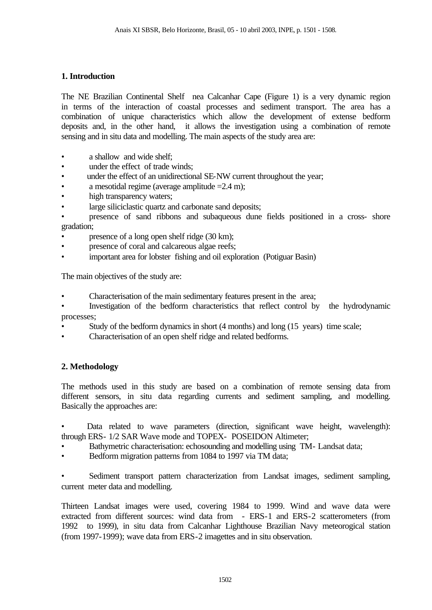## **1. Introduction**

The NE Brazilian Continental Shelf nea Calcanhar Cape (Figure 1) is a very dynamic region in terms of the interaction of coastal processes and sediment transport. The area has a combination of unique characteristics which allow the development of extense bedform deposits and, in the other hand, it allows the investigation using a combination of remote sensing and in situ data and modelling. The main aspects of the study area are:

- a shallow and wide shelf:
- under the effect of trade winds:
- under the effect of an unidirectional SE-NW current throughout the year;
- a mesotidal regime (average amplitude  $=2.4$  m);
- high transparency waters;
- large siliciclastic quartz and carbonate sand deposits;
- presence of sand ribbons and subaqueous dune fields positioned in a cross- shore gradation;
- presence of a long open shelf ridge (30 km);
- presence of coral and calcareous algae reefs;
- important area for lobster fishing and oil exploration (Potiguar Basin)

The main objectives of the study are:

- Characterisation of the main sedimentary features present in the area;
- Investigation of the bedform characteristics that reflect control by the hydrodynamic processes;
- Study of the bedform dynamics in short (4 months) and long (15 years) time scale;
- Characterisation of an open shelf ridge and related bedforms.

## **2. Methodology**

The methods used in this study are based on a combination of remote sensing data from different sensors, in situ data regarding currents and sediment sampling, and modelling. Basically the approaches are:

Data related to wave parameters (direction, significant wave height, wavelength): through ERS- 1/2 SAR Wave mode and TOPEX- POSEIDON Altimeter;

- Bathymetric characterisation: echosounding and modelling using TM- Landsat data;
- Bedform migration patterns from 1084 to 1997 via TM data;

• Sediment transport pattern characterization from Landsat images, sediment sampling, current meter data and modelling.

Thirteen Landsat images were used, covering 1984 to 1999. Wind and wave data were extracted from different sources: wind data from - ERS-1 and ERS-2 scatterometers (from 1992 to 1999), in situ data from Calcanhar Lighthouse Brazilian Navy meteorogical station (from 1997-1999); wave data from ERS-2 imagettes and in situ observation.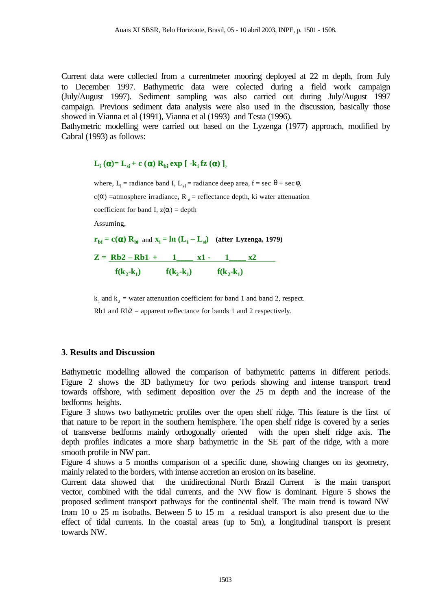Current data were collected from a currentmeter mooring deployed at 22 m depth, from July to December 1997. Bathymetric data were colected during a field work campaign (July/August 1997). Sediment sampling was also carried out during July/August 1997 campaign. Previous sediment data analysis were also used in the discussion, basically those showed in Vianna et al (1991), Vianna et al (1993) and Testa (1996).

Bathymetric modelling were carried out based on the Lyzenga (1977) approach, modified by Cabral (1993) as follows:

# $L_i$  (**a**)=  $L_{si}$  + **c** (**a**)  $R_{bi}$  exp [ -k<sub>*i*</sub> fz (**a**) ],

where,  $L_i$  = radiance band I,  $L_{si}$  = radiance deep area, f = sec  $\theta$  + sec  $\phi$ ,

c( $\alpha$ ) =atmosphere irradiance, R<sub>bi</sub> = reflectance depth, ki water attenuation

coefficient for band I,  $z(\alpha) =$  depth

Assuming,

 $\mathbf{r}_{\mathbf{bi}} = \mathbf{c}(\mathbf{a}) \mathbf{R}_{\mathbf{bi}}$  and  $\mathbf{x}_i = \mathbf{ln} (\mathbf{L}_i - \mathbf{L}_{si})$  (after Lyzenga, 1979)

$$
Z = \frac{Rb2 - Rb1 + 1 \t x1 - 1 \t x2}{f(k_2 - k_1) \t f(k_2 - k_1) \t f(k_2 - k_1)}
$$

 $k_1$  and  $k_2$  = water attenuation coefficient for band 1 and band 2, respect.

Rb1 and Rb2 = apparent reflectance for bands 1 and 2 respectively.

#### **3**. **Results and Discussion**

Bathymetric modelling allowed the comparison of bathymetric patterns in different periods. Figure 2 shows the 3D bathymetry for two periods showing and intense transport trend towards offshore, with sediment deposition over the 25 m depth and the increase of the bedforms heights.

Figure 3 shows two bathymetric profiles over the open shelf ridge. This feature is the first of that nature to be report in the southern hemisphere. The open shelf ridge is covered by a series of transverse bedforms mainly orthogonally oriented with the open shelf ridge axis. The depth profiles indicates a more sharp bathymetric in the SE part of the ridge, with a more smooth profile in NW part.

Figure 4 shows a 5 months comparison of a specific dune, showing changes on its geometry, mainly related to the borders, with intense accretion an erosion on its baseline.

Current data showed that the unidirectional North Brazil Current is the main transport vector, combined with the tidal currents, and the NW flow is dominant. Figure 5 shows the proposed sediment transport pathways for the continental shelf. The main trend is toward NW from 10 o 25 m isobaths. Between 5 to 15 m a residual transport is also present due to the effect of tidal currents. In the coastal areas (up to 5m), a longitudinal transport is present towards NW.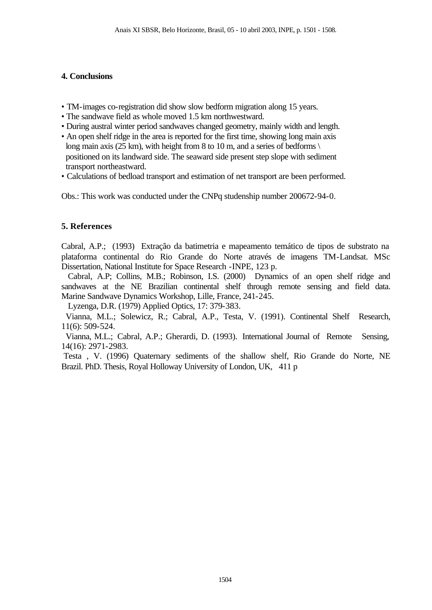### **4. Conclusions**

- TM-images co-registration did show slow bedform migration along 15 years.
- The sandwave field as whole moved 1.5 km northwestward.
- During austral winter period sandwaves changed geometry, mainly width and length.
- An open shelf ridge in the area is reported for the first time, showing long main axis long main axis (25 km), with height from 8 to 10 m, and a series of bedforms \ positioned on its landward side. The seaward side present step slope with sediment transport northeastward.
- Calculations of bedload transport and estimation of net transport are been performed.

Obs.: This work was conducted under the CNPq studenship number 200672-94-0.

## **5. References**

Cabral, A.P.; (1993) Extração da batimetria e mapeamento temático de tipos de substrato na plataforma continental do Rio Grande do Norte através de imagens TM-Landsat. MSc Dissertation, National Institute for Space Research -INPE, 123 p.

 Cabral, A.P; Collins, M.B.; Robinson, I.S. (2000) Dynamics of an open shelf ridge and sandwaves at the NE Brazilian continental shelf through remote sensing and field data. Marine Sandwave Dynamics Workshop, Lille, France, 241-245.

Lyzenga, D.R. (1979) Applied Optics, 17: 379-383.

 Vianna, M.L.; Solewicz, R.; Cabral, A.P., Testa, V. (1991). Continental Shelf Research, 11(6): 509-524.

 Vianna, M.L.; Cabral, A.P.; Gherardi, D. (1993). International Journal of Remote Sensing, 14(16): 2971-2983.

 Testa , V. (1996) Quaternary sediments of the shallow shelf, Rio Grande do Norte, NE Brazil. PhD. Thesis, Royal Holloway University of London, UK, 411 p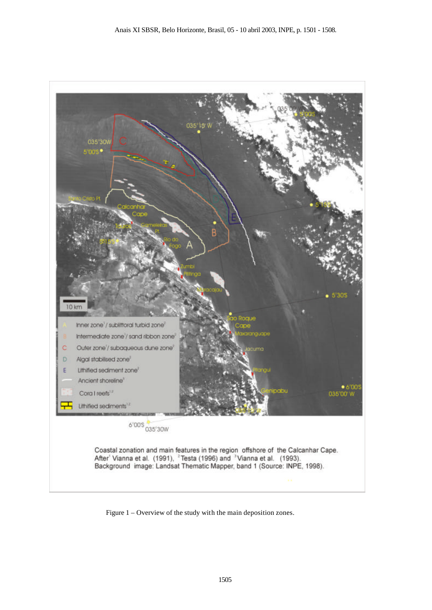

Figure 1 – Overview of the study with the main deposition zones.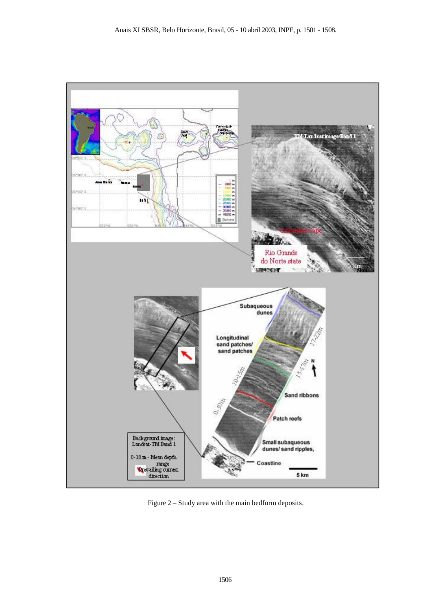

Figure 2 – Study area with the main bedform deposits.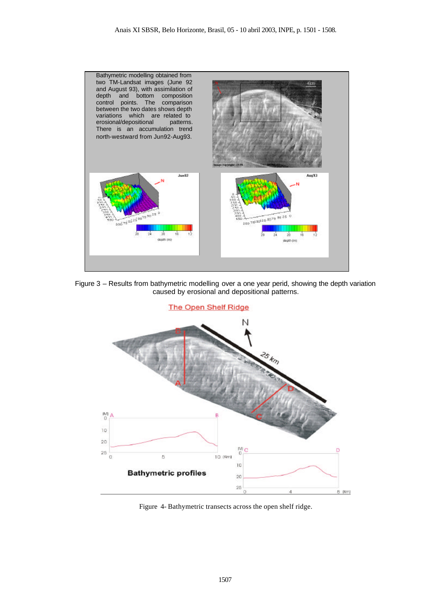





Figure 4- Bathymetric transects across the open shelf ridge.